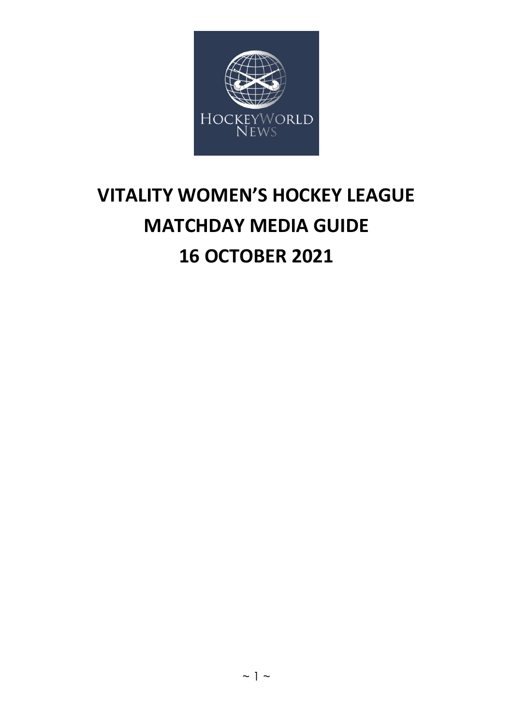

# **VITALITY WOMEN'S HOCKEY LEAGUE MATCHDAY MEDIA GUIDE 16 OCTOBER 2021**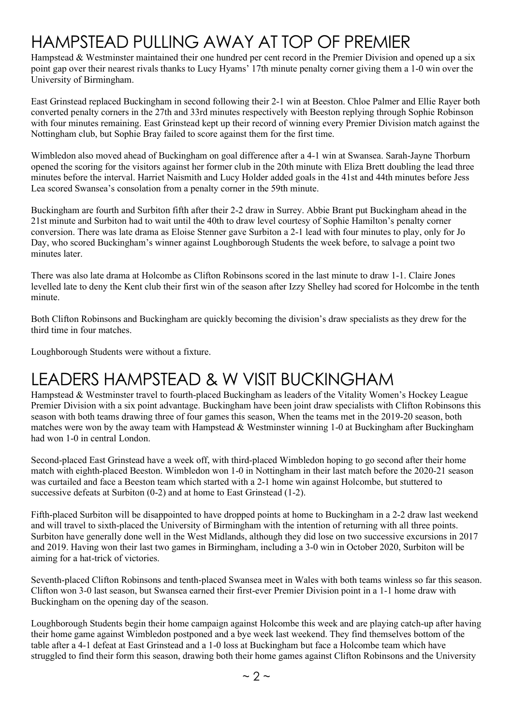# HAMPSTEAD PULLING AWAY AT TOP OF PREMIER

Hampstead & Westminster maintained their one hundred per cent record in the Premier Division and opened up a six point gap over their nearest rivals thanks to Lucy Hyams' 17th minute penalty corner giving them a 1-0 win over the University of Birmingham.

East Grinstead replaced Buckingham in second following their 2-1 win at Beeston. Chloe Palmer and Ellie Rayer both converted penalty corners in the 27th and 33rd minutes respectively with Beeston replying through Sophie Robinson with four minutes remaining. East Grinstead kept up their record of winning every Premier Division match against the Nottingham club, but Sophie Bray failed to score against them for the first time.

Wimbledon also moved ahead of Buckingham on goal difference after a 4-1 win at Swansea. Sarah-Jayne Thorburn opened the scoring for the visitors against her former club in the 20th minute with Eliza Brett doubling the lead three minutes before the interval. Harriet Naismith and Lucy Holder added goals in the 41st and 44th minutes before Jess Lea scored Swansea's consolation from a penalty corner in the 59th minute.

Buckingham are fourth and Surbiton fifth after their 2-2 draw in Surrey. Abbie Brant put Buckingham ahead in the 21st minute and Surbiton had to wait until the 40th to draw level courtesy of Sophie Hamilton's penalty corner conversion. There was late drama as Eloise Stenner gave Surbiton a 2-1 lead with four minutes to play, only for Jo Day, who scored Buckingham's winner against Loughborough Students the week before, to salvage a point two minutes later.

There was also late drama at Holcombe as Clifton Robinsons scored in the last minute to draw 1-1. Claire Jones levelled late to deny the Kent club their first win of the season after Izzy Shelley had scored for Holcombe in the tenth minute.

Both Clifton Robinsons and Buckingham are quickly becoming the division's draw specialists as they drew for the third time in four matches.

Loughborough Students were without a fixture.

## LEADERS HAMPSTEAD & W VISIT BUCKINGHAM

Hampstead & Westminster travel to fourth-placed Buckingham as leaders of the Vitality Women's Hockey League Premier Division with a six point advantage. Buckingham have been joint draw specialists with Clifton Robinsons this season with both teams drawing three of four games this season, When the teams met in the 2019-20 season, both matches were won by the away team with Hampstead & Westminster winning 1-0 at Buckingham after Buckingham had won 1-0 in central London.

Second-placed East Grinstead have a week off, with third-placed Wimbledon hoping to go second after their home match with eighth-placed Beeston. Wimbledon won 1-0 in Nottingham in their last match before the 2020-21 season was curtailed and face a Beeston team which started with a 2-1 home win against Holcombe, but stuttered to successive defeats at Surbiton (0-2) and at home to East Grinstead (1-2).

Fifth-placed Surbiton will be disappointed to have dropped points at home to Buckingham in a 2-2 draw last weekend and will travel to sixth-placed the University of Birmingham with the intention of returning with all three points. Surbiton have generally done well in the West Midlands, although they did lose on two successive excursions in 2017 and 2019. Having won their last two games in Birmingham, including a 3-0 win in October 2020, Surbiton will be aiming for a hat-trick of victories.

Seventh-placed Clifton Robinsons and tenth-placed Swansea meet in Wales with both teams winless so far this season. Clifton won 3-0 last season, but Swansea earned their first-ever Premier Division point in a 1-1 home draw with Buckingham on the opening day of the season.

Loughborough Students begin their home campaign against Holcombe this week and are playing catch-up after having their home game against Wimbledon postponed and a bye week last weekend. They find themselves bottom of the table after a 4-1 defeat at East Grinstead and a 1-0 loss at Buckingham but face a Holcombe team which have struggled to find their form this season, drawing both their home games against Clifton Robinsons and the University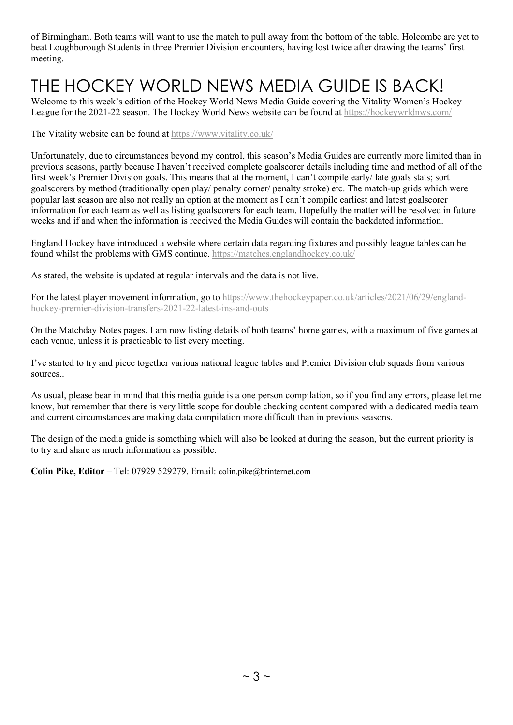of Birmingham. Both teams will want to use the match to pull away from the bottom of the table. Holcombe are yet to beat Loughborough Students in three Premier Division encounters, having lost twice after drawing the teams' first meeting.

# THE HOCKEY WORLD NEWS MEDIA GUIDE IS BACK!

Welcome to this week's edition of the Hockey World News Media Guide covering the Vitality Women's Hockey League for the 2021-22 season. The Hockey World News website can be found at<https://hockeywrldnws.com/>

The Vitality website can be found at<https://www.vitality.co.uk/>

Unfortunately, due to circumstances beyond my control, this season's Media Guides are currently more limited than in previous seasons, partly because I haven't received complete goalscorer details including time and method of all of the first week's Premier Division goals. This means that at the moment, I can't compile early/ late goals stats; sort goalscorers by method (traditionally open play/ penalty corner/ penalty stroke) etc. The match-up grids which were popular last season are also not really an option at the moment as I can't compile earliest and latest goalscorer information for each team as well as listing goalscorers for each team. Hopefully the matter will be resolved in future weeks and if and when the information is received the Media Guides will contain the backdated information.

England Hockey have introduced a website where certain data regarding fixtures and possibly league tables can be found whilst the problems with GMS continue.<https://matches.englandhockey.co.uk/>

As stated, the website is updated at regular intervals and the data is not live.

For the latest player movement information, go to [https://www.thehockeypaper.co.uk/articles/2021/06/29/england](https://www.thehockeypaper.co.uk/articles/2021/06/29/england-hockey-premier-division-transfers-2021-22-latest-ins-and-outs)[hockey-premier-division-transfers-2021-22-latest-ins-and-outs](https://www.thehockeypaper.co.uk/articles/2021/06/29/england-hockey-premier-division-transfers-2021-22-latest-ins-and-outs)

On the Matchday Notes pages, I am now listing details of both teams' home games, with a maximum of five games at each venue, unless it is practicable to list every meeting.

I've started to try and piece together various national league tables and Premier Division club squads from various sources..

As usual, please bear in mind that this media guide is a one person compilation, so if you find any errors, please let me know, but remember that there is very little scope for double checking content compared with a dedicated media team and current circumstances are making data compilation more difficult than in previous seasons.

The design of the media guide is something which will also be looked at during the season, but the current priority is to try and share as much information as possible.

**Colin Pike, Editor** – Tel: 07929 529279. Email: [colin.pike@btinternet.com](mailto:colin.pike@btinternet.com)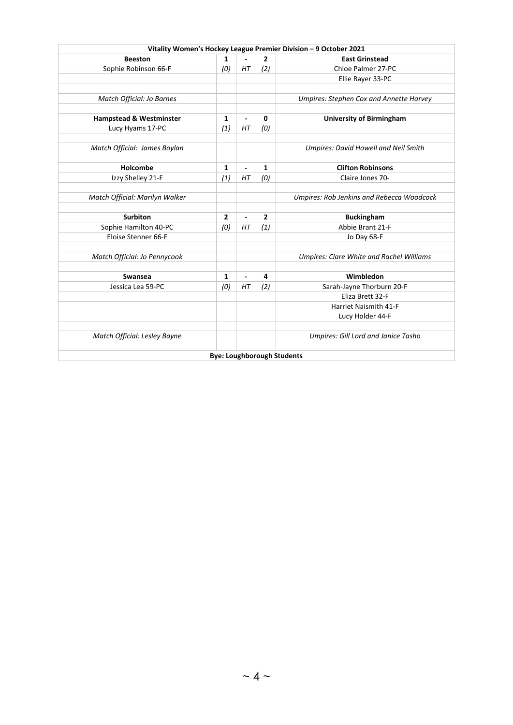|                                    |                |                          |                                   | Vitality Women's Hockey League Premier Division - 9 October 2021 |
|------------------------------------|----------------|--------------------------|-----------------------------------|------------------------------------------------------------------|
| <b>Beeston</b>                     | 1              |                          | $\overline{2}$                    | <b>East Grinstead</b>                                            |
| Sophie Robinson 66-F               | (0)            | HT                       | (2)                               | Chloe Palmer 27-PC                                               |
|                                    |                |                          |                                   | Ellie Rayer 33-PC                                                |
|                                    |                |                          |                                   |                                                                  |
| Match Official: Jo Barnes          |                |                          |                                   | <b>Umpires: Stephen Cox and Annette Harvey</b>                   |
|                                    |                |                          |                                   |                                                                  |
| <b>Hampstead &amp; Westminster</b> | 1              | $\overline{a}$           | $\mathbf 0$                       | <b>University of Birmingham</b>                                  |
| Lucy Hyams 17-PC                   | (1)            | HT                       | (0)                               |                                                                  |
|                                    |                |                          |                                   |                                                                  |
| Match Official: James Boylan       |                |                          |                                   | Umpires: David Howell and Neil Smith                             |
|                                    |                |                          |                                   |                                                                  |
| Holcombe                           | 1              | $\overline{\phantom{0}}$ | 1                                 | <b>Clifton Robinsons</b>                                         |
| Izzy Shelley 21-F                  | (1)            | HT                       | (0)                               | Claire Jones 70-                                                 |
|                                    |                |                          |                                   |                                                                  |
| Match Official: Marilyn Walker     |                |                          |                                   | Umpires: Rob Jenkins and Rebecca Woodcock                        |
|                                    |                |                          |                                   |                                                                  |
| <b>Surbiton</b>                    | $\overline{2}$ | $\overline{\phantom{0}}$ | $\overline{2}$                    | <b>Buckingham</b>                                                |
| Sophie Hamilton 40-PC              | (0)            | HT                       | (1)                               | Abbie Brant 21-F                                                 |
| Eloise Stenner 66-F                |                |                          |                                   | Jo Day 68-F                                                      |
|                                    |                |                          |                                   |                                                                  |
| Match Official: Jo Pennycook       |                |                          |                                   | <b>Umpires: Clare White and Rachel Williams</b>                  |
|                                    |                |                          |                                   |                                                                  |
| Swansea                            | $\mathbf{1}$   | $\overline{a}$           | 4                                 | Wimbledon                                                        |
| Jessica Lea 59-PC                  | (0)            | HT                       | (2)                               | Sarah-Jayne Thorburn 20-F                                        |
|                                    |                |                          |                                   | Eliza Brett 32-F                                                 |
|                                    |                |                          |                                   | Harriet Naismith 41-F                                            |
|                                    |                |                          |                                   | Lucy Holder 44-F                                                 |
|                                    |                |                          |                                   |                                                                  |
| Match Official: Lesley Bayne       |                |                          |                                   | Umpires: Gill Lord and Janice Tasho                              |
|                                    |                |                          |                                   |                                                                  |
|                                    |                |                          | <b>Bye: Loughborough Students</b> |                                                                  |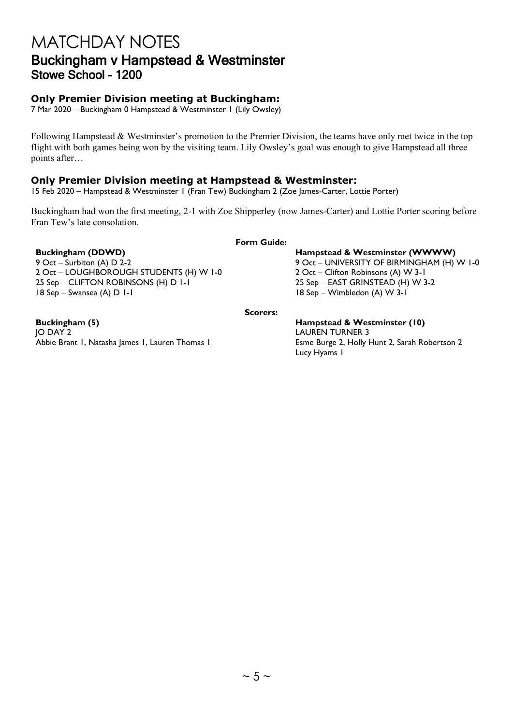## MATCHDAY NOTES Buckingham v Hampstead & Westminster Stowe School - 1200

## **Only Premier Division meeting at Buckingham:**

7 Mar 2020 – Buckingham 0 Hampstead & Westminster 1 (Lily Owsley)

Following Hampstead & Westminster's promotion to the Premier Division, the teams have only met twice in the top flight with both games being won by the visiting team. Lily Owsley's goal was enough to give Hampstead all three points after…

## **Only Premier Division meeting at Hampstead & Westminster:**

15 Feb 2020 – Hampstead & Westminster 1 (Fran Tew) Buckingham 2 (Zoe James-Carter, Lottie Porter)

Buckingham had won the first meeting, 2-1 with Zoe Shipperley (now James-Carter) and Lottie Porter scoring before Fran Tew's late consolation.

### **Form Guide:**

**Buckingham (DDWD)**<br>
9 Oct – Surbiton (A) D 2-2<br>
9 Oct – UNIVERSITY OF BIRMINGHAM (H) 2 Oct – LOUGHBOROUGH STUDENTS (H) W 1-0 2 Oct – Clifton Robinsons (A) W 3-1 25 Sep – CLIFTON ROBINSONS (H) D 1-1 25 Sep – EAST GRINSTEAD (H) W 3-2 18 Sep – Swansea (A) D 1-1 18 Sep – Wimbledon (A) W 3-1

9 Oct – UNIVERSITY OF BIRMINGHAM (H) W 1-0

**Scorers:**

**Buckingham (5) Hampstead & Westminster (10)** JO DAY 2 LAUREN TURNER 3 Abbie Brant I, Natasha James I, Lauren Thomas I **Esme Burge 2, Holly Hunt 2, Sarah Robertson 2** 

Lucy Hyams 1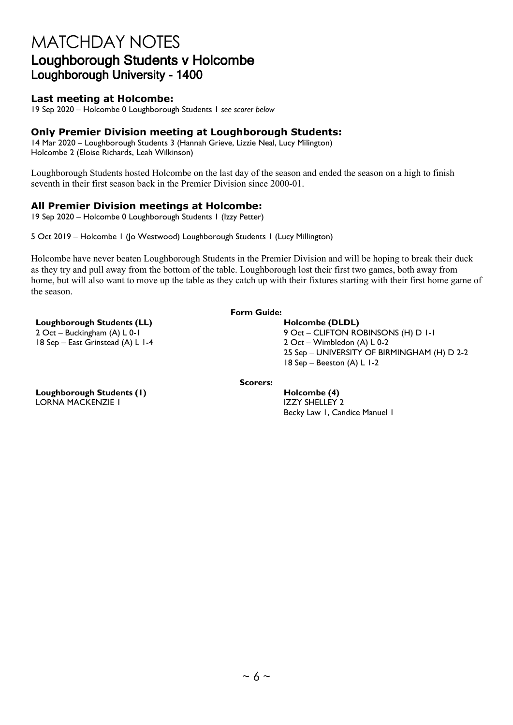## MATCHDAY NOTES Loughborough Students v Holcombe Loughborough University - 1400

## **Last meeting at Holcombe:**

19 Sep 2020 – Holcombe 0 Loughborough Students 1 *see scorer below*

## **Only Premier Division meeting at Loughborough Students:**

14 Mar 2020 – Loughborough Students 3 (Hannah Grieve, Lizzie Neal, Lucy Milington) Holcombe 2 (Eloise Richards, Leah Wilkinson)

Loughborough Students hosted Holcombe on the last day of the season and ended the season on a high to finish seventh in their first season back in the Premier Division since 2000-01.

## **All Premier Division meetings at Holcombe:**

19 Sep 2020 – Holcombe 0 Loughborough Students 1 (Izzy Petter)

5 Oct 2019 – Holcombe 1 (Jo Westwood) Loughborough Students 1 (Lucy Millington)

Holcombe have never beaten Loughborough Students in the Premier Division and will be hoping to break their duck as they try and pull away from the bottom of the table. Loughborough lost their first two games, both away from home, but will also want to move up the table as they catch up with their fixtures starting with their first home game of the season.

### **Loughborough Students (LL) Holcombe (DLDL)**

 $18$  Sep – East Grinstead (A) L 1-4

### **Form Guide:**

2 Oct – Buckingham (A) L 0-1 <br>
18 Sep – East Grinstead (A) L 1-4 <br>
2 Oct – Wimbledon (A) L 0-2 25 Sep – UNIVERSITY OF BIRMINGHAM (H) D 2-2 18 Sep – Beeston (A) L 1-2

**Scorers:**

Becky Law 1, Candice Manuel 1

**Loughborough Students (1) Holcombe (4) Holcombe (4)** LORNA MACKENZIE I IZZY SHELLEY 2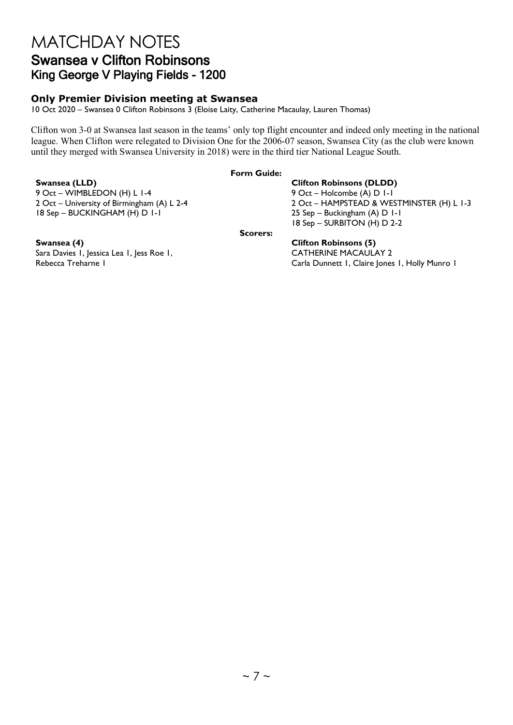## MATCHDAY NOTES Swansea v Clifton Robinsons King George V Playing Fields - 1200

## **Only Premier Division meeting at Swansea**

10 Oct 2020 – Swansea 0 Clifton Robinsons 3 (Eloise Laity, Catherine Macaulay, Lauren Thomas)

Clifton won 3-0 at Swansea last season in the teams' only top flight encounter and indeed only meeting in the national league. When Clifton were relegated to Division One for the 2006-07 season, Swansea City (as the club were known until they merged with Swansea University in 2018) were in the third tier National League South.

### **Form Guide:**

9 Oct – WIMBLEDON (H) L 1-4 18 Sep – BUCKINGHAM (H) D 1-1 25 Sep – Buckingham (A) D 1-1

## **Swansea (LLD)**<br>
9 Oct – WIMBLEDON (H) L 1-4<br>
9 Oct – Holcombe (A) D 1-1 2 Oct – University of Birmingham (A) L 2-4 2 Oct – HAMPSTEAD & WESTMINSTER (H) L 1-3 18 Sep – SURBITON (H) D 2-2

**Scorers:**

Sara Davies 1, Jessica Lea 1, Jess Roe 1, Rebecca Treharne 1

### **Swansea (4) Clifton Robinsons (5)** CATHERINE MACAULAY 2 Carla Dunnett 1, Claire Jones 1, Holly Munro 1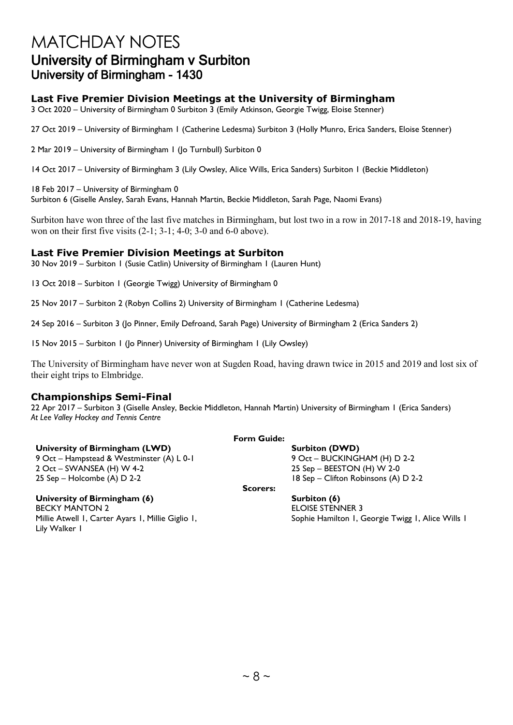## MATCHDAY NOTES University of Birmingham v Surbiton University of Birmingham - 1430

## **Last Five Premier Division Meetings at the University of Birmingham**

3 Oct 2020 – University of Birmingham 0 Surbiton 3 (Emily Atkinson, Georgie Twigg, Eloise Stenner)

27 Oct 2019 – University of Birmingham 1 (Catherine Ledesma) Surbiton 3 (Holly Munro, Erica Sanders, Eloise Stenner)

2 Mar 2019 – University of Birmingham 1 (Jo Turnbull) Surbiton 0

14 Oct 2017 – University of Birmingham 3 (Lily Owsley, Alice Wills, Erica Sanders) Surbiton 1 (Beckie Middleton)

18 Feb 2017 – University of Birmingham 0 Surbiton 6 (Giselle Ansley, Sarah Evans, Hannah Martin, Beckie Middleton, Sarah Page, Naomi Evans)

Surbiton have won three of the last five matches in Birmingham, but lost two in a row in 2017-18 and 2018-19, having won on their first five visits (2-1; 3-1; 4-0; 3-0 and 6-0 above).

## **Last Five Premier Division Meetings at Surbiton**

30 Nov 2019 – Surbiton 1 (Susie Catlin) University of Birmingham 1 (Lauren Hunt)

13 Oct 2018 – Surbiton 1 (Georgie Twigg) University of Birmingham 0

25 Nov 2017 – Surbiton 2 (Robyn Collins 2) University of Birmingham 1 (Catherine Ledesma)

24 Sep 2016 – Surbiton 3 (Jo Pinner, Emily Defroand, Sarah Page) University of Birmingham 2 (Erica Sanders 2)

15 Nov 2015 – Surbiton 1 (Jo Pinner) University of Birmingham 1 (Lily Owsley)

The University of Birmingham have never won at Sugden Road, having drawn twice in 2015 and 2019 and lost six of their eight trips to Elmbridge.

## **Championships Semi-Final**

22 Apr 2017 – Surbiton 3 (Giselle Ansley, Beckie Middleton, Hannah Martin) University of Birmingham 1 (Erica Sanders) *At Lee Valley Hockey and Tennis Centre*

### **University of Birmingham (LWD) Surbiton (DWD) Surbiton (DWD)**

9 Oct – Hampstead & Westminster (A) L 0-1 9 Oct – BUCKINGHAM (H) D 2-2 2 Oct – SWANSEA (H) W 4-2 25 Sep – BEESTON (H) W 2-0 25 Sep – Holcombe (A) D 2-2 18 Sep – Clifton Robinsons (A) D 2-2

## **University of Birmingham (6) Surbiton (6) Surbiton (6)**

**BECKY MANTON 2** ELOISE STENNER 3 Millie Atwell 1, Carter Ayars 1, Millie Giglio 1, Lily Walker 1

**Scorers:**

**Form Guide:**

Sophie Hamilton 1, Georgie Twigg 1, Alice Wills 1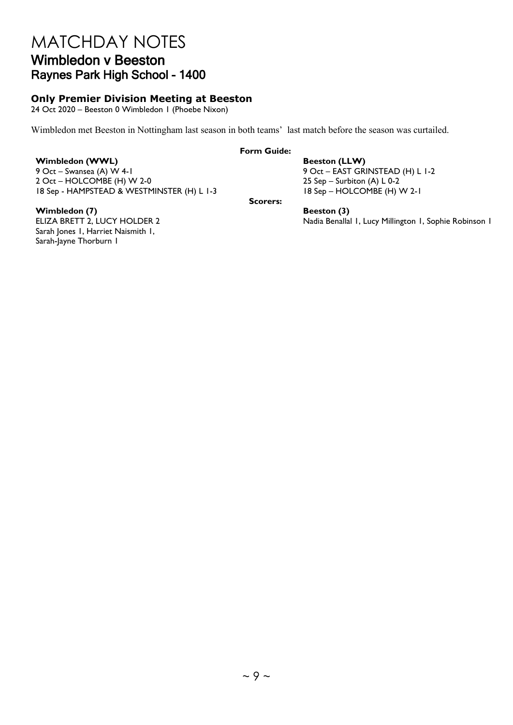## MATCHDAY NOTES Wimbledon v Beeston Raynes Park High School - 1400

## **Only Premier Division Meeting at Beeston**

24 Oct 2020 – Beeston 0 Wimbledon 1 (Phoebe Nixon)

Wimbledon met Beeston in Nottingham last season in both teams' last match before the season was curtailed.

**Form Guide:**

**Wimbledon (WWL) Beeston (LLW)** 9 Oct – Swansea (A) W 4-1 9 Oct – EAST GRINSTEAD (H) L 1-2<br>
2 Oct – HOLCOMBE (H) W 2-0 2 25 Sep – Surbiton (A) L 0-2  $2$  Oct – HOLCOMBE (H) W 2-0 18 Sep - HAMPSTEAD & WESTMINSTER (H) L 1-3 18 Sep – HOLCOMBE (H) W 2-1

**Scorers:**

Nadia Benallal 1, Lucy Millington 1, Sophie Robinson 1

**Wimbledon (7)**<br> **Beeston (3)**<br> **Beeston (3)**<br> **Beeston (3)**<br>
Nadia Benalla Sarah Jones I, Harriet Naismith I, Sarah-Jayne Thorburn 1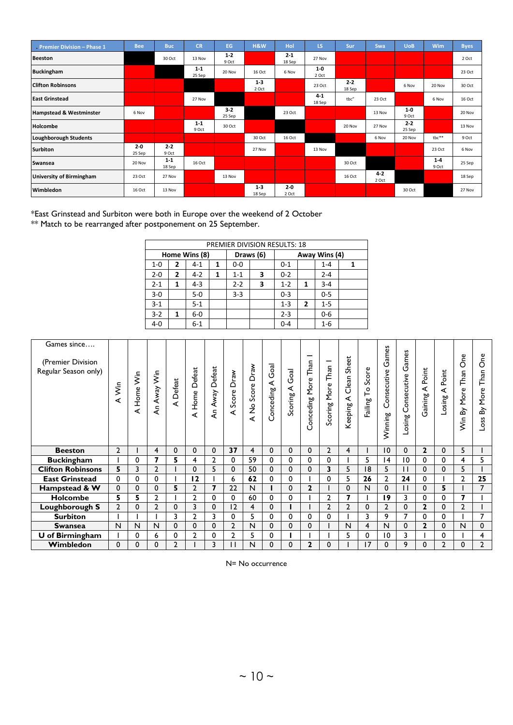| Premier Division - Phase 1      | <b>Bee</b>        | <b>Buc</b>        | <b>CR</b>         | EG               | H&W               | Hol              | LS.             | Sur               | Swa              | <b>UoB</b>        | Wim              | <b>Byes</b> |
|---------------------------------|-------------------|-------------------|-------------------|------------------|-------------------|------------------|-----------------|-------------------|------------------|-------------------|------------------|-------------|
| <b>Beeston</b>                  |                   | 30 Oct            | 13 Nov            | $1 - 2$<br>9 Oct |                   | $2-1$<br>18 Sep  | 27 Nov          |                   |                  |                   |                  | 2 Oct       |
| <b>Buckingham</b>               |                   |                   | $1 - 1$<br>25 Sep | 20 Nov           | 16 Oct            | 6 Nov            | $1-0$<br>2 Oct  |                   |                  |                   |                  | 23 Oct      |
| <b>Clifton Robinsons</b>        |                   |                   |                   |                  | $1 - 3$<br>2 Oct  |                  | 23 Oct          | $2 - 2$<br>18 Sep |                  | 6 Nov             | 20 Nov           | 30 Oct      |
| <b>East Grinstead</b>           |                   |                   | 27 Nov            |                  |                   |                  | $4-1$<br>18 Sep | tbc"              | 23 Oct           |                   | 6 Nov            | 16 Oct      |
| Hampstead & Westminster         | 6 Nov             |                   |                   | $3-2$<br>25 Sep  |                   | 23 Oct           |                 |                   | 13 Nov           | $1-0$<br>9 Oct    |                  | 20 Nov      |
| Holcombe                        |                   |                   | $1 - 1$<br>9 Oct  | 30 Oct           |                   |                  |                 | 20 Nov            | 27 Nov           | $2 - 2$<br>25 Sep |                  | 13 Nov      |
| Loughborough Students           |                   |                   |                   |                  | 30 Oct            | 16 Oct           |                 |                   | 6 Nov            | 20 Nov            | $the**$          | 9 Oct       |
| <b>Surbiton</b>                 | $2 - 0$<br>25 Sep | $2 - 2$<br>9 Oct  |                   |                  | 27 Nov            |                  | 13 Nov          |                   |                  |                   | 23 Oct           | 6 Nov       |
| Swansea                         | 20 Nov            | $1 - 1$<br>18 Sep | 16 Oct            |                  |                   |                  |                 | 30 Oct            |                  |                   | $1 - 4$<br>9 Oct | 25 Sep      |
| <b>University of Birmingham</b> | 23 Oct            | 27 Nov            |                   | 13 Nov           |                   |                  |                 | 16 Oct            | $4 - 2$<br>2 Oct |                   |                  | 18 Sep      |
| Wimbledon                       | 16 Oct            | 13 Nov            |                   |                  | $1 - 3$<br>18 Sep | $2 - 0$<br>2 Oct |                 |                   |                  | 30 Oct            |                  | 27 Nov      |

\*East Grinstead and Surbiton were both in Europe over the weekend of 2 October  $^{**}$  Match to be rearranged after postponement on 25 September.

|         | PREMIER DIVISION RESULTS: 18 |               |   |         |           |         |              |               |  |
|---------|------------------------------|---------------|---|---------|-----------|---------|--------------|---------------|--|
|         |                              | Home Wins (8) |   |         | Draws (6) |         |              | Away Wins (4) |  |
| $1 - 0$ | 2                            | $4 - 1$       | 1 | $0-0$   |           | $0 - 1$ |              | $1 - 4$       |  |
| $2 - 0$ | $\mathbf{2}$                 | $4 - 2$       | 1 | $1 - 1$ | 3         | $0 - 2$ |              | $2 - 4$       |  |
| $2 - 1$ | 1                            | $4 - 3$       |   | $2 - 2$ | 3         | $1 - 2$ | 1            | $3 - 4$       |  |
| $3 - 0$ |                              | $5 - 0$       |   | $3 - 3$ |           | $0 - 3$ |              | $0 - 5$       |  |
| $3 - 1$ |                              | $5 - 1$       |   |         |           | $1 - 3$ | $\mathbf{2}$ | $1 - 5$       |  |
| $3 - 2$ | 1                            | $6-0$         |   |         |           | $2 - 3$ |              | $0 - 6$       |  |
| $4 - 0$ |                              | $6 - 1$       |   |         |           | 0-4     |              | $1 - 6$       |  |

| Games since<br>(Premier Division<br>Regular Season only) | A Win          | Şin<br>Home <sup>1</sup><br>∢ | An Away Win  | A Defeat    | Defeat<br>Home<br>∢ | Defeat<br>Away<br>Ę | Draw<br>Score<br>⋖ | Draw<br>Score<br>$\stackrel{\mathtt{o}}{z}$<br>∢ | Goal<br>≺<br>onceding | Goal<br>⋖<br>Scoring | Than<br>More<br>onceding<br>O | Than<br>More<br>Scoring | Sheet<br>Clean<br>⋖<br>Keeping | Score<br>$\mathsf{L}^{\mathsf{o}}$<br>Failing | Games<br>Consecutive<br>Winning | Games<br>Consecutive<br>Losing | Point<br>⋖<br>Gaining | Point<br>≺<br>Losing | $\delta$<br>Than<br>More<br>δÝ<br>Ş | ęά<br>$\circ$<br>Than<br>More<br>৯<br>Loss |
|----------------------------------------------------------|----------------|-------------------------------|--------------|-------------|---------------------|---------------------|--------------------|--------------------------------------------------|-----------------------|----------------------|-------------------------------|-------------------------|--------------------------------|-----------------------------------------------|---------------------------------|--------------------------------|-----------------------|----------------------|-------------------------------------|--------------------------------------------|
| <b>Beeston</b>                                           | $\overline{2}$ |                               | 4            | $\mathbf 0$ | $\mathbf{0}$        | $\Omega$            | 37                 | 4                                                | $\Omega$              | 0                    | $\mathbf{0}$                  | $\overline{2}$          | 4                              |                                               | 10                              | $\Omega$                       | $\overline{2}$        | $\Omega$             | 5                                   |                                            |
| <b>Buckingham</b>                                        |                | 0                             | 7            | 5           | 4                   | $\overline{2}$      | 0                  | 59                                               | 0                     | 0                    | 0                             | 0                       |                                | 5                                             | 14                              | 10                             | 0                     | 0                    | 4                                   | 5                                          |
|                                                          |                |                               |              |             |                     |                     |                    |                                                  |                       |                      |                               |                         |                                |                                               |                                 |                                |                       |                      |                                     |                                            |
| <b>Clifton Robinsons</b>                                 | 5              | 3                             | $\mathbf{2}$ |             | $\mathbf{0}$        | 5                   | $\mathbf{0}$       | 50                                               | 0                     | 0                    | $\mathbf{0}$                  | 3                       | 5                              | 18                                            | 5                               | $\mathbf{1}$                   | $\Omega$              | 0                    | 5                                   |                                            |
| <b>East Grinstead</b>                                    | $\Omega$       | $\Omega$                      | 0            |             | 12                  |                     | 6                  | 62                                               | 0                     | 0                    |                               | 0                       | 5                              | 26                                            | $\overline{2}$                  | 24                             | $\Omega$              |                      | 2                                   | 25                                         |
| Hampstead & W                                            | 0              | $\mathbf{0}$                  | 0            | 5           | $\overline{2}$      | 7                   | 22                 | N                                                |                       | 0                    | $\mathbf{2}$                  |                         | 0                              | N                                             | $\mathbf{0}$                    | $\mathbf{1}$                   | $\mathbf{0}$          | 5                    |                                     | $\overline{7}$                             |
| <b>Holcombe</b>                                          | 5              | 5                             | 2            |             | 2                   | 0                   | 0                  | 60                                               | 0                     | 0                    |                               | 2                       | 7                              |                                               | 19                              | 3                              | $\Omega$              | 0                    |                                     |                                            |
| Loughborough S                                           | $\overline{2}$ | $\mathbf{0}$                  | $\mathbf{2}$ | $\mathbf 0$ | 3                   | $\Omega$            | 12                 | 4                                                | 0                     | ı                    |                               | $\overline{2}$          | $\mathbf{2}$                   | $\mathbf{0}$                                  | $\overline{2}$                  | $\mathbf{0}$                   | $\mathbf{2}$          | $\Omega$             | 2                                   |                                            |
| <b>Surbiton</b>                                          |                |                               |              | 3           | 2                   | 3                   | 0                  | 5                                                | 0                     | 0                    | 0                             | 0                       |                                | 3                                             | 9                               | 7                              | 0                     | 0                    |                                     | 7                                          |
| <b>Swansea</b>                                           | N              | N                             | N            | $\Omega$    | $\Omega$            | $\Omega$            | $\overline{2}$     | N                                                | 0                     | 0                    | $\Omega$                      |                         | $\mathsf{N}$                   | $\overline{4}$                                | N                               | $\Omega$                       | $\mathbf{2}$          | 0                    | N                                   | $\Omega$                                   |
| $\overline{U}$ of Birmingham                             |                | 0                             | 6            | 0           | 2                   | 0                   | 2                  | 5                                                | 0                     |                      |                               |                         | 5                              | 0                                             | 10                              | 3                              |                       | 0                    |                                     | 4                                          |

N= No occurrence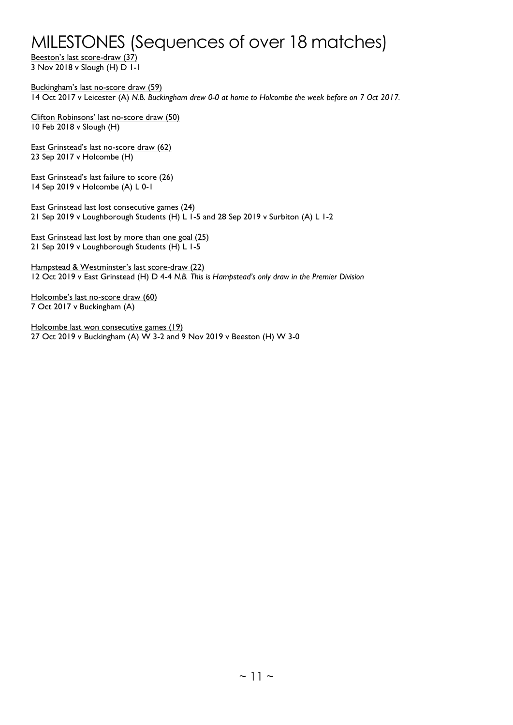## MILESTONES (Sequences of over 18 matches)

Beeston's last score-draw (37) 3 Nov 2018 v Slough (H) D 1-1

Buckingham's last no-score draw (59) 14 Oct 2017 v Leicester (A) *N.B. Buckingham drew 0-0 at home to Holcombe the week before on 7 Oct 2017.*

Clifton Robinsons' last no-score draw (50) 10 Feb 2018 v Slough (H)

East Grinstead's last no-score draw (62) 23 Sep 2017 v Holcombe (H)

East Grinstead's last failure to score (26) 14 Sep 2019 v Holcombe (A) L 0-1

East Grinstead last lost consecutive games (24) 21 Sep 2019 v Loughborough Students (H) L 1-5 and 28 Sep 2019 v Surbiton (A) L 1-2

East Grinstead last lost by more than one goal (25) 21 Sep 2019 v Loughborough Students (H) L 1-5

Hampstead & Westminster's last score-draw (22) 12 Oct 2019 v East Grinstead (H) D 4-4 *N.B. This is Hampstead's only draw in the Premier Division*

Holcombe's last no-score draw (60) 7 Oct 2017 v Buckingham (A)

Holcombe last won consecutive games (19) 27 Oct 2019 v Buckingham (A) W 3-2 and 9 Nov 2019 v Beeston (H) W 3-0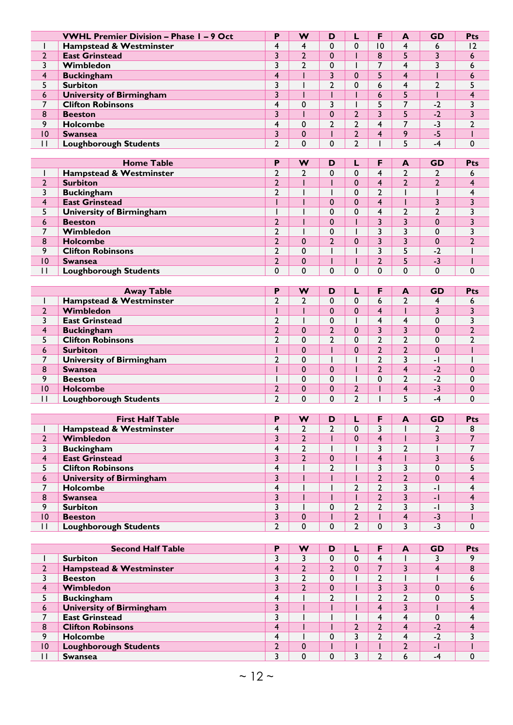|              | <b>VWHL Premier Division - Phase 1 - 9 Oct</b> | Р             | w        | D |   |    | A | <b>GD</b> | <b>Pts</b>     |
|--------------|------------------------------------------------|---------------|----------|---|---|----|---|-----------|----------------|
|              | Hampstead & Westminster                        | 4             | 4        |   |   | 10 |   | ь         | $\overline{2}$ |
| C            | <b>East Grinstead</b>                          | 3             | າ        | 0 |   | 8  |   |           | 6              |
|              | Wimbledon                                      |               | າ        | 0 |   |    | 4 |           | 6              |
| 4            | <b>Buckingham</b>                              | 4             |          |   |   |    | 4 |           | ь              |
|              | <b>Surbiton</b>                                |               |          | ◠ | U | 6  |   |           |                |
| 6            | <b>University of Birmingham</b>                |               |          |   |   | 6  |   |           | 4              |
|              | <b>Clifton Robinsons</b>                       | 4             | $\Omega$ |   |   |    |   | $-2$      |                |
| 8            | <b>Beeston</b>                                 | 3             |          |   |   |    |   | $-2$      |                |
| 9            | <b>Holcombe</b>                                | 4             | $\Omega$ | ◠ |   | 4  |   | $-3$      |                |
| 10           | <b>Swansea</b>                                 |               | $\Omega$ |   |   |    | q | -5        |                |
| $\mathsf{I}$ | <b>Loughborough Students</b>                   | $\mathcal{P}$ | 0        | 0 |   |    |   | -4        | 0              |
|              |                                                |               |          |   |   |    |   |           |                |

|    | <b>Home Table</b>               | P      | W           | D |   | A | <b>GD</b> | Pts |
|----|---------------------------------|--------|-------------|---|---|---|-----------|-----|
|    | Hampstead & Westminster         | ┑<br>▴ | ◠           |   |   |   |           | ь   |
| C. | <b>Surbiton</b>                 | ኀ      |             |   |   |   |           |     |
|    | <b>Buckingham</b>               | ┑      |             |   |   |   |           |     |
|    | <b>East Grinstead</b>           |        |             |   |   |   |           |     |
|    | <b>University of Birmingham</b> |        |             |   | 4 | ∍ |           |     |
| 6  | <b>Beeston</b>                  | ኀ      |             |   |   |   | $\Omega$  |     |
|    | Wimbledon                       | ┑      |             | 0 |   |   | C         |     |
| 8  | <b>Holcombe</b>                 | ኀ      | $\Omega$    |   |   |   | $\Omega$  |     |
| q  | <b>Clifton Robinsons</b>        | ำ      | 0           |   |   |   | $-2$      |     |
| 10 | <b>Swansea</b>                  | ำ      | $\mathbf 0$ |   |   |   | $-3$      |     |
|    | <b>Loughborough Students</b>    | 0      | 0           |   |   | 0 | $\Omega$  |     |

|    | <b>Away Table</b>               | Р      | W        | D        |   |   | A | <b>GD</b> | Pts |
|----|---------------------------------|--------|----------|----------|---|---|---|-----------|-----|
|    | Hampstead & Westminster         | ┑<br>▴ | ∍        |          |   | O |   |           | ь   |
| ┑  | Wimbledon                       |        |          | 0        |   |   |   |           |     |
|    | <b>East Grinstead</b>           | ⌒      |          | 0        |   |   |   | $\Omega$  |     |
| 4  | <b>Buckingham</b>               | ◠      | 0        | ◠        |   |   |   | $\Omega$  |     |
|    | <b>Clifton Robinsons</b>        | ┑      | 0        |          |   |   |   | $\Omega$  |     |
| 6  | <b>Surbiton</b>                 |        | $\Omega$ |          |   |   |   | $\Omega$  |     |
|    | <b>University of Birmingham</b> | ኀ      | 0        |          |   |   |   | - 1       |     |
| 8  | <b>Swansea</b>                  |        | 0        | 0        |   |   | 4 | $-2$      |     |
| 9  | <b>Beeston</b>                  |        | 0        | 0        |   |   | ◠ | $-2$      |     |
| 10 | <b>Holcombe</b>                 | ◠      | 0        | $\Omega$ |   |   |   | $-3$      |     |
| П  | <b>Loughborough Students</b>    | ┑      | 0        |          | ◠ |   |   | -4        |     |

|    | <b>First Half Table</b>         | D | w | D        |   | F | A | <b>GD</b>                | <b>Pts</b> |
|----|---------------------------------|---|---|----------|---|---|---|--------------------------|------------|
|    | Hampstead & Westminster         | 4 | ำ |          |   |   |   |                          | 8          |
| h  | Wimbledon                       | 3 | ົ |          |   | 4 |   |                          |            |
| 3  | <b>Buckingham</b>               | 4 | າ |          |   |   | ┑ |                          |            |
| 4  | <b>East Grinstead</b>           | 3 | C | $\Omega$ |   | 4 |   |                          |            |
|    | <b>Clifton Robinsons</b>        | 4 |   | ◠        |   |   |   | 0                        |            |
| 6  | <b>University of Birmingham</b> | 3 |   |          |   |   |   | $\Omega$                 |            |
| –  | Holcombe                        | 4 |   |          | ◠ |   |   | $\overline{\phantom{a}}$ |            |
| 8  | <b>Swansea</b>                  |   |   |          |   |   |   | $\overline{\phantom{a}}$ |            |
| 9  | <b>Surbiton</b>                 | 3 |   |          |   |   |   | $\overline{\phantom{a}}$ |            |
| 10 | <b>Beeston</b>                  |   | 0 |          |   |   |   | $-3$                     |            |
| П  | <b>Loughborough Students</b>    | ◠ | 0 | 0        |   |   |   | -3                       |            |

|                | <b>Second Half Table</b>           | D | w | D | F | A | <b>GD</b> | <b>Pts</b> |
|----------------|------------------------------------|---|---|---|---|---|-----------|------------|
|                | <b>Surbiton</b>                    |   |   |   | 4 |   |           |            |
| $\overline{2}$ | <b>Hampstead &amp; Westminster</b> | 4 | າ |   |   |   | 4         | 8          |
|                | <b>Beeston</b>                     |   |   | 0 |   |   |           | o          |
|                | Wimbledon                          |   | ำ |   |   |   | 0         | o          |
|                | <b>Buckingham</b>                  | 4 |   |   |   |   | O         |            |
| 6              | <b>University of Birmingham</b>    | ∍ |   |   | 4 |   |           |            |
|                | <b>East Grinstead</b>              |   |   |   |   |   |           |            |
| 8              | <b>Clifton Robinsons</b>           | 4 |   |   |   |   | $-2$      |            |
| 9              | <b>Holcombe</b>                    | 4 |   |   |   | 4 | $-2$      |            |
| 10             | <b>Loughborough Students</b>       | ┑ | 0 |   |   |   | - 1       |            |
|                | <b>Swansea</b>                     | ∍ | 0 |   |   | ь | -4        |            |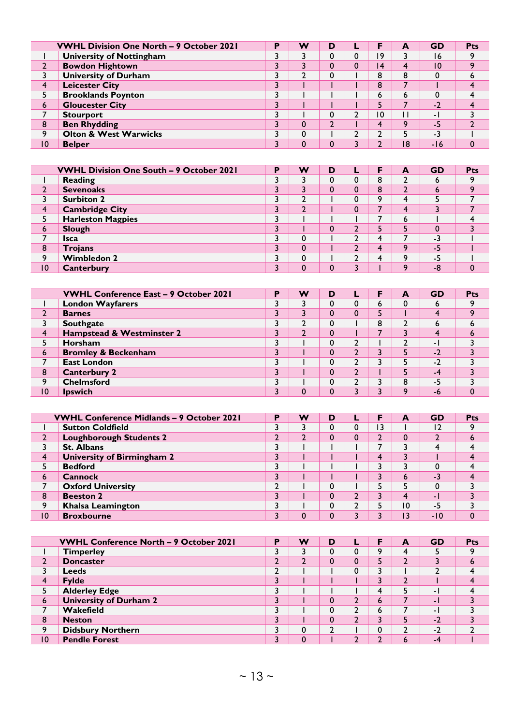|    | <b>VWHL Division One North - 9 October 2021</b> | в | w | D |                | A  | <b>GD</b> | <b>Pts</b> |
|----|-------------------------------------------------|---|---|---|----------------|----|-----------|------------|
|    | <b>University of Nottingham</b>                 |   |   |   | -9             |    | 16        |            |
|    | <b>Bowdon Hightown</b>                          |   |   |   | $\overline{4}$ | 4  | 10        |            |
|    | <b>University of Durham</b>                     |   | ∍ |   | 8              | 8  | $\Omega$  |            |
|    | <b>Leicester City</b>                           |   |   |   | 8              |    |           |            |
|    | <b>Brooklands Poynton</b>                       |   |   |   | h              | ь  | 0         |            |
| 6  | <b>Gloucester City</b>                          |   |   |   |                |    | $-2$      |            |
|    | <b>Stourport</b>                                |   |   |   | 10             |    | - 1       |            |
| 8  | <b>Ben Rhydding</b>                             |   | 0 |   |                | Q  | -5        |            |
| ٥  | <b>Olton &amp; West Warwicks</b>                |   | 0 |   |                |    | -3        |            |
| 10 | <b>Belper</b>                                   |   | 0 |   |                | 18 | -16       |            |

|    | <b>VWHL Division One South - 9 October 2021</b> | D | w  | D | F       | A | <b>GD</b> | <b>Pts</b> |
|----|-------------------------------------------------|---|----|---|---------|---|-----------|------------|
|    | Reading                                         | ำ | C. |   | 8       |   | ь         |            |
| ┑  | <b>Sevenoaks</b>                                | 3 | 3  |   | 8       | ◠ | ь         |            |
|    | <b>Surbiton 2</b>                               |   |    |   | $\circ$ | 4 |           |            |
| 4  | <b>Cambridge City</b>                           | ว | C  |   |         | 4 |           |            |
|    | <b>Harleston Magpies</b>                        | ┑ |    |   |         | 6 |           |            |
| 6  | Slough                                          | ว |    |   |         |   | $\Omega$  |            |
|    | <b>Isca</b>                                     | 3 | 0  |   | 4       |   | $-3$      |            |
| 8  | <b>Trojans</b>                                  |   | 0  |   | 4       | Q | -5        |            |
| 9  | <b>Wimbledon 2</b>                              | ำ | 0  |   | Δ       | ٥ | $-5$      |            |
| 10 | <b>Canterbury</b>                               | ว | 0  | n |         | ٥ | -8        |            |

|    | <b>VWHL Conference East - 9 October 2021</b> | Þ | w | D        | F | A | <b>GD</b> | <b>Pts</b> |
|----|----------------------------------------------|---|---|----------|---|---|-----------|------------|
|    | <b>London Wayfarers</b>                      |   |   |          | ь | 0 | ь         |            |
|    | <b>Barnes</b>                                | ર |   |          |   |   | 4         | $\circ$    |
|    | <b>Southgate</b>                             | 3 | 2 | 0        | 8 |   | ь         |            |
| 4  | Hampstead & Westminster 2                    |   | າ | $\Omega$ |   |   | 4         |            |
|    | Horsham                                      | 3 |   | 0        |   |   | - 1       |            |
| 6  | <b>Bromley &amp; Beckenham</b>               | ર |   |          |   |   | $-2$      |            |
|    | <b>East London</b>                           |   |   | 0        |   |   | $-2$      |            |
| 8  | <b>Canterbury 2</b>                          |   |   |          |   |   | -4        |            |
| q  | <b>Chelmsford</b>                            | 3 |   | 0        |   | 8 | -5        |            |
| 10 | <b>Ipswich</b>                               |   | 0 | 0        |   | ٥ | -6        |            |

|                 | <b>VWHL Conference Midlands - 9 October 2021</b> | P | w              | D | F               | A  | <b>GD</b> | <b>Pts</b> |
|-----------------|--------------------------------------------------|---|----------------|---|-----------------|----|-----------|------------|
|                 | <b>Sutton Coldfield</b>                          |   |                |   | $\overline{13}$ |    | 12        |            |
|                 | <b>Loughborough Students 2</b>                   | ◠ | $\overline{2}$ |   |                 | υ  | ำ         | ь          |
|                 | <b>St. Albans</b>                                |   |                |   |                 |    | 4         |            |
| 4               | University of Birmingham 2                       |   |                |   | 4               |    |           |            |
|                 | <b>Bedford</b>                                   |   |                |   |                 |    | 0         |            |
| 6               | <b>Cannock</b>                                   | ົ |                |   |                 | ь  | $-3$      |            |
| ⇁               | <b>Oxford University</b>                         | ◠ |                |   |                 |    | 0         |            |
| 8               | <b>Beeston 2</b>                                 |   |                |   |                 |    | - 1       |            |
| 9               | <b>Khalsa Leamington</b>                         |   |                |   |                 | ۱0 | -5        |            |
| $\overline{10}$ | <b>Broxbourne</b>                                |   | 0              |   |                 | ີ  | $-10$     |            |

|    | <b>VWHL Conference North - 9 October 2021</b> | D  | w      | D |         | A | <b>GD</b> | Pts |
|----|-----------------------------------------------|----|--------|---|---------|---|-----------|-----|
|    | <b>Timperley</b>                              |    |        |   | $\circ$ | 4 |           |     |
|    | <b>Doncaster</b>                              |    | າ<br>▴ |   |         |   |           | o   |
|    | <b>Leeds</b>                                  |    |        |   |         |   |           |     |
|    | <b>Fylde</b>                                  |    |        |   |         |   |           |     |
|    | <b>Alderley Edge</b>                          |    |        |   |         |   | - 1       |     |
| 6  | <b>University of Durham 2</b>                 |    |        |   | b       |   | - 1       |     |
|    | Wakefield                                     | n. |        |   | b       |   | - 1       |     |
| 8  | <b>Neston</b>                                 | ∍  |        |   |         |   | $-2$      |     |
| q  | <b>Didsbury Northern</b>                      |    | 0      |   |         |   | $-2$      |     |
| 10 | <b>Pendle Forest</b>                          |    | 0      |   |         | ь | $-4$      |     |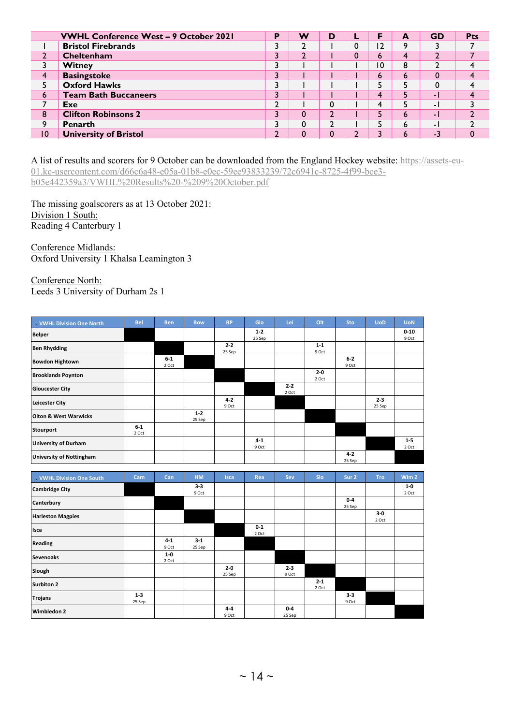|                 | <b>VWHL Conference West - 9 October 2021</b> | P | w      | D |    | A | <b>GD</b> | Pts |
|-----------------|----------------------------------------------|---|--------|---|----|---|-----------|-----|
|                 | <b>Bristol Firebrands</b>                    |   | ำ      |   | ۱2 | Q |           |     |
|                 | Cheltenham                                   |   | ำ<br>∸ |   | b  | 4 |           |     |
|                 | <b>Witney</b>                                |   |        |   | 10 | 8 |           |     |
|                 | <b>Basingstoke</b>                           |   |        |   | b  | 6 |           |     |
|                 | <b>Oxford Hawks</b>                          |   |        |   |    |   | 0         |     |
| 6               | <b>Team Bath Buccaneers</b>                  |   |        |   |    |   | - 1       |     |
|                 | Exe                                          | ┑ |        |   |    |   | - 1       |     |
| 8               | <b>Clifton Robinsons 2</b>                   | ำ | 0      |   |    | ь | - 1       |     |
| 9               | <b>Penarth</b>                               |   | 0      |   |    | 6 | - 1       |     |
| $\overline{10}$ | <b>University of Bristol</b>                 |   | 0      |   |    | ь | $-3$      |     |

A list of results and scorers for 9 October can be downloaded from the England Hockey website: [https://assets-eu-](https://assets-eu-01.kc-usercontent.com/d66c6a48-e05a-01b8-e0ec-59ee93833239/72c6941c-8725-4f99-bce3-b05e442359a3/VWHL%20Results%20-%209%20October.pdf)[01.kc-usercontent.com/d66c6a48-e05a-01b8-e0ec-59ee93833239/72c6941c-8725-4f99-bce3](https://assets-eu-01.kc-usercontent.com/d66c6a48-e05a-01b8-e0ec-59ee93833239/72c6941c-8725-4f99-bce3-b05e442359a3/VWHL%20Results%20-%209%20October.pdf) [b05e442359a3/VWHL%20Results%20-%209%20October.pdf](https://assets-eu-01.kc-usercontent.com/d66c6a48-e05a-01b8-e0ec-59ee93833239/72c6941c-8725-4f99-bce3-b05e442359a3/VWHL%20Results%20-%209%20October.pdf)

The missing goalscorers as at 13 October 2021: Division 1 South: Reading 4 Canterbury 1

Conference Midlands: Oxford University 1 Khalsa Leamington 3

Conference North: Leeds 3 University of Durham 2s 1

| <b>VWHL Division One North</b>   | <b>Bel</b>       | <b>Ben</b>     | <b>Bow</b>      | <b>BP</b>         | Glo               | Lei              | Olt              | <b>Sto</b>        | <b>UoD</b>        | <b>UoN</b>        |
|----------------------------------|------------------|----------------|-----------------|-------------------|-------------------|------------------|------------------|-------------------|-------------------|-------------------|
| <b>Belper</b>                    |                  |                |                 |                   | $1 - 2$<br>25 Sep |                  |                  |                   |                   | $0 - 10$<br>9 Oct |
| <b>Ben Rhydding</b>              |                  |                |                 | $2 - 2$<br>25 Sep |                   |                  | $1 - 1$<br>9 Oct |                   |                   |                   |
| <b>Bowdon Hightown</b>           |                  | $6-1$<br>2 Oct |                 |                   |                   |                  |                  | $6-2$<br>9 Oct    |                   |                   |
| <b>Brooklands Poynton</b>        |                  |                |                 |                   |                   |                  | $2 - 0$<br>2 Oct |                   |                   |                   |
| <b>Gloucester City</b>           |                  |                |                 |                   |                   | $2 - 2$<br>2 Oct |                  |                   |                   |                   |
| <b>Leicester City</b>            |                  |                |                 | $4 - 2$<br>9 Oct  |                   |                  |                  |                   | $2 - 3$<br>25 Sep |                   |
| <b>Olton &amp; West Warwicks</b> |                  |                | $1-2$<br>25 Sep |                   |                   |                  |                  |                   |                   |                   |
| <b>Stourport</b>                 | $6 - 1$<br>2 Oct |                |                 |                   |                   |                  |                  |                   |                   |                   |
| <b>University of Durham</b>      |                  |                |                 |                   | $4 - 1$<br>9 Oct  |                  |                  |                   |                   | $1 - 5$<br>2 Oct  |
| <b>University of Nottingham</b>  |                  |                |                 |                   |                   |                  |                  | $4 - 2$<br>25 Sep |                   |                   |

| . VWHL Division One South | Cam               | Can              | <b>HM</b>         | <b>Isca</b>       | Rea            | Sev              | <b>Slo</b>       | Sur 2             | <b>Tro</b>     | Wim 2          |
|---------------------------|-------------------|------------------|-------------------|-------------------|----------------|------------------|------------------|-------------------|----------------|----------------|
| <b>Cambridge City</b>     |                   |                  | $3 - 3$<br>9 Oct  |                   |                |                  |                  |                   |                | $1-0$<br>2 Oct |
| Canterbury                |                   |                  |                   |                   |                |                  |                  | $0 - 4$<br>25 Sep |                |                |
| <b>Harleston Magpies</b>  |                   |                  |                   |                   |                |                  |                  |                   | $3-0$<br>2 Oct |                |
| Isca                      |                   |                  |                   |                   | $0-1$<br>2 Oct |                  |                  |                   |                |                |
| <b>Reading</b>            |                   | $4 - 1$<br>9 Oct | $3 - 1$<br>25 Sep |                   |                |                  |                  |                   |                |                |
| <b>Sevenoaks</b>          |                   | $1-0$<br>2 Oct   |                   |                   |                |                  |                  |                   |                |                |
| Slough                    |                   |                  |                   | $2 - 0$<br>25 Sep |                | $2 - 3$<br>9 Oct |                  |                   |                |                |
| <b>Surbiton 2</b>         |                   |                  |                   |                   |                |                  | $2 - 1$<br>2 Oct |                   |                |                |
| <b>Trojans</b>            | $1 - 3$<br>25 Sep |                  |                   |                   |                |                  |                  | $3 - 3$<br>9 Oct  |                |                |
| <b>Wimbledon 2</b>        |                   |                  |                   | $4 - 4$<br>9 Oct  |                | $0-4$<br>25 Sep  |                  |                   |                |                |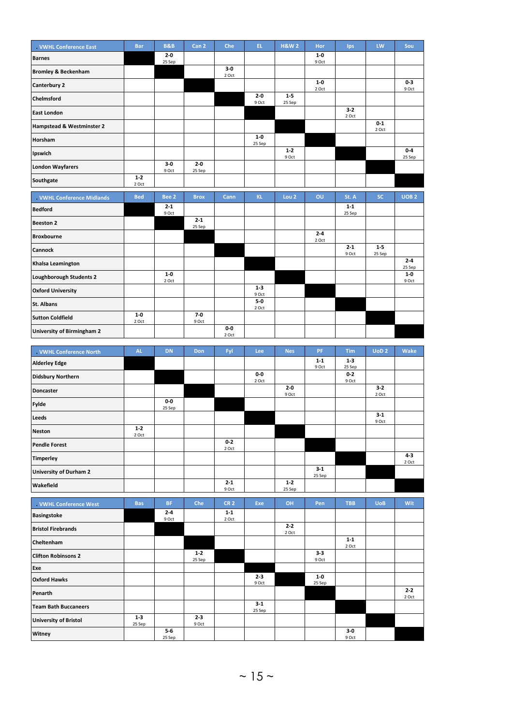| . VWHL Conference East         | <b>Bar</b>       | <b>B&amp;B</b>    | Can <sub>2</sub>  | Che            | EL.              | <b>H&amp;W2</b>   | Hor            | Ips            | LW             | Sou               |
|--------------------------------|------------------|-------------------|-------------------|----------------|------------------|-------------------|----------------|----------------|----------------|-------------------|
| <b>Barnes</b>                  |                  | $2 - 0$<br>25 Sep |                   |                |                  |                   | $1-0$<br>9 Oct |                |                |                   |
| <b>Bromley &amp; Beckenham</b> |                  |                   |                   | $3-0$<br>2 Oct |                  |                   |                |                |                |                   |
| <b>Canterbury 2</b>            |                  |                   |                   |                |                  |                   | $1-0$<br>2 Oct |                |                | $0-3$<br>9 Oct    |
| Chelmsford                     |                  |                   |                   |                | $2 - 0$<br>9 Oct | $1 - 5$<br>25 Sep |                |                |                |                   |
| <b>East London</b>             |                  |                   |                   |                |                  |                   |                | $3-2$<br>2 Oct |                |                   |
| Hampstead & Westminster 2      |                  |                   |                   |                |                  |                   |                |                | $0-1$<br>2 Oct |                   |
| <b>Horsham</b>                 |                  |                   |                   |                | $1-0$<br>25 Sep  |                   |                |                |                |                   |
| Ipswich                        |                  |                   |                   |                |                  | $1 - 2$<br>9 Oct  |                |                |                | $0 - 4$<br>25 Sep |
| <b>London Wayfarers</b>        |                  | $3-0$<br>9 Oct    | $2 - 0$<br>25 Sep |                |                  |                   |                |                |                |                   |
| Southgate                      | $1 - 2$<br>2 Oct |                   |                   |                |                  |                   |                |                |                |                   |
|                                |                  |                   |                   |                |                  |                   |                |                |                |                   |
| . VWHL Conference Midlands     | <b>Bed</b>       | Bee <sub>2</sub>  | <b>Brox</b>       | Cann           | <b>KL</b>        | Lou <sub>2</sub>  | OU             | St. A          | <b>SC</b>      | UOB <sub>2</sub>  |
| <b>Bedford</b>                 |                  | $2 - 1$           |                   |                |                  |                   |                | $1 - 1$        |                |                   |
| <b>Beeston 2</b>               |                  | 9 Oct             | $2 - 1$           |                |                  |                   |                | 25 Sep         |                |                   |
| <b>Broxbourne</b>              |                  |                   | 25 Sep            |                |                  |                   | $2 - 4$        |                |                |                   |
| <b>Cannock</b>                 |                  |                   |                   |                |                  |                   | 2 Oct          | $2 - 1$        | $1 - 5$        |                   |
| Khalsa Leamington              |                  |                   |                   |                |                  |                   |                | 9 Oct          | 25 Sep         | $2 - 4$           |
| Loughborough Students 2        |                  | $1-0$             |                   |                |                  |                   |                |                |                | 25 Sep<br>$1-0$   |
| <b>Oxford University</b>       |                  | 2 Oct             |                   |                | $1 - 3$<br>9 Oct |                   |                |                |                | 9 Oct             |
| <b>St. Albans</b>              |                  |                   |                   |                | $5-0$<br>2 Oct   |                   |                |                |                |                   |
| <b>Sutton Coldfield</b>        | $1-0$<br>2 Oct   |                   | $7-0$<br>9 Oct    |                |                  |                   |                |                |                |                   |

| . VWHL Conference North  | <b>AL</b>        | <b>DN</b>       | Don | Fyl              | Lee            | <b>Nes</b>        | <b>PF</b>        | <b>Tim</b>        | UoD <sub>2</sub> | Wake             |
|--------------------------|------------------|-----------------|-----|------------------|----------------|-------------------|------------------|-------------------|------------------|------------------|
| <b>Alderley Edge</b>     |                  |                 |     |                  |                |                   | $1 - 1$<br>9 Oct | $1 - 3$<br>25 Sep |                  |                  |
| <b>Didsbury Northern</b> |                  |                 |     |                  | $0-0$<br>2 Oct |                   |                  | $0 - 2$<br>9 Oct  |                  |                  |
| <b>Doncaster</b>         |                  |                 |     |                  |                | $2 - 0$<br>9 Oct  |                  |                   | $3-2$<br>2 Oct   |                  |
| <b>Fylde</b>             |                  | $0-0$<br>25 Sep |     |                  |                |                   |                  |                   |                  |                  |
| <b>Leeds</b>             |                  |                 |     |                  |                |                   |                  |                   | $3 - 1$<br>9 Oct |                  |
| <b>Neston</b>            | $1 - 2$<br>2 Oct |                 |     |                  |                |                   |                  |                   |                  |                  |
| <b>Pendle Forest</b>     |                  |                 |     | $0-2$<br>2 Oct   |                |                   |                  |                   |                  |                  |
| <b>Timperley</b>         |                  |                 |     |                  |                |                   |                  |                   |                  | $4 - 3$<br>2 Oct |
| University of Durham 2   |                  |                 |     |                  |                |                   | $3-1$<br>25 Sep  |                   |                  |                  |
| Wakefield                |                  |                 |     | $2 - 1$<br>9 Oct |                | $1 - 2$<br>25 Sep |                  |                   |                  |                  |

| <b>VWHL Conference West</b>  | <b>Bas</b>        | <b>BF</b>        | Che               | <b>CR2</b>       | Exe               | OH               | Pen             | <b>TBB</b>       | <b>UoB</b> | Wit              |
|------------------------------|-------------------|------------------|-------------------|------------------|-------------------|------------------|-----------------|------------------|------------|------------------|
| <b>Basingstoke</b>           |                   | $2 - 4$<br>9 Oct |                   | $1 - 1$<br>2 Oct |                   |                  |                 |                  |            |                  |
| <b>Bristol Firebrands</b>    |                   |                  |                   |                  |                   | $2 - 2$<br>2 Oct |                 |                  |            |                  |
| Cheltenham                   |                   |                  |                   |                  |                   |                  |                 | $1 - 1$<br>2 Oct |            |                  |
| <b>Clifton Robinsons 2</b>   |                   |                  | $1 - 2$<br>25 Sep |                  |                   |                  | $3-3$<br>9 Oct  |                  |            |                  |
| Exe                          |                   |                  |                   |                  |                   |                  |                 |                  |            |                  |
| <b>Oxford Hawks</b>          |                   |                  |                   |                  | $2 - 3$<br>9 Oct  |                  | $1-0$<br>25 Sep |                  |            |                  |
| Penarth                      |                   |                  |                   |                  |                   |                  |                 |                  |            | $2 - 2$<br>2 Oct |
| <b>Team Bath Buccaneers</b>  |                   |                  |                   |                  | $3 - 1$<br>25 Sep |                  |                 |                  |            |                  |
| <b>University of Bristol</b> | $1 - 3$<br>25 Sep |                  | $2 - 3$<br>9 Oct  |                  |                   |                  |                 |                  |            |                  |
| Witney                       |                   | $5-6$<br>25 Sep  |                   |                  |                   |                  |                 | $3-0$<br>9 Oct   |            |                  |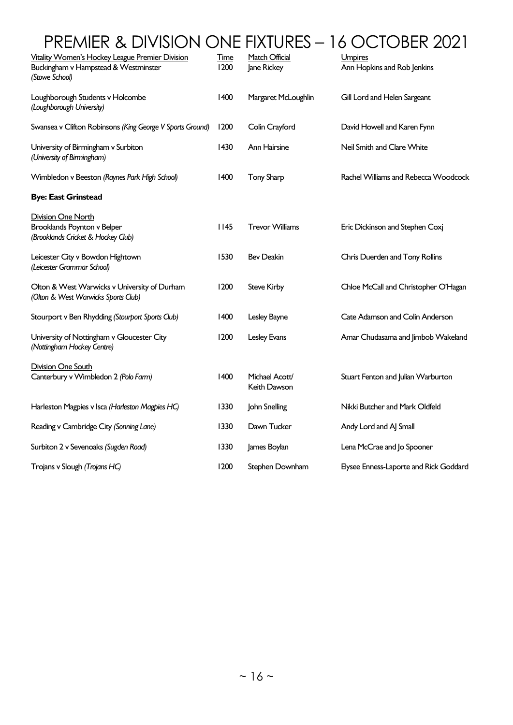# PREMIER & DIVISION ONE FIXTURES – 16 OCTOBER 2021

| Vitality Women's Hockey League Premier Division<br>Buckingham v Hampstead & Westminster<br>(Stowe School) | <b>Time</b><br>1200 | Match Official<br>Jane Rickey  | Umpires<br>Ann Hopkins and Rob Jenkins |
|-----------------------------------------------------------------------------------------------------------|---------------------|--------------------------------|----------------------------------------|
| Loughborough Students v Holcombe<br>(Loughborough University)                                             | 1400                | Margaret McLoughlin            | Gill Lord and Helen Sargeant           |
| Swansea v Clifton Robinsons (King George V Sports Ground)                                                 | 1200                | Colin Crayford                 | David Howell and Karen Fynn            |
| University of Birmingham v Surbiton<br>(University of Birmingham)                                         | 1430                | Ann Hairsine                   | Neil Smith and Clare White             |
| Wimbledon v Beeston (Raynes Park High School)                                                             | 1400                | <b>Tony Sharp</b>              | Rachel Williams and Rebecca Woodcock   |
| <b>Bye: East Grinstead</b>                                                                                |                     |                                |                                        |
| <b>Division One North</b><br>Brooklands Poynton v Belper<br>(Brooklands Cricket & Hockey Club)            | 1145                | <b>Trevor Williams</b>         | Eric Dickinson and Stephen Coxj        |
| Leicester City v Bowdon Hightown<br>(Leicester Grammar School)                                            | 1530                | <b>Bev Deakin</b>              | Chris Duerden and Tony Rollins         |
| Olton & West Warwicks v University of Durham<br>(Olton & West Warwicks Sports Club)                       | 1200                | <b>Steve Kirby</b>             | Chloe McCall and Christopher O'Hagan   |
| Stourport v Ben Rhydding (Stourport Sports Club)                                                          | 1400                | Lesley Bayne                   | Cate Adamson and Colin Anderson        |
| University of Nottingham v Gloucester City<br>(Nottingham Hockey Centre)                                  | 1200                | Lesley Evans                   | Amar Chudasama and Jimbob Wakeland     |
| <b>Division One South</b><br>Canterbury v Wimbledon 2 (Polo Farm)                                         | 1400                | Michael Acott/<br>Keith Dawson | Stuart Fenton and Julian Warburton     |
| Harleston Magpies v Isca (Harleston Magpies HC)                                                           | 1330                | John Snelling                  | Nikki Butcher and Mark Oldfeld         |
| Reading v Cambridge City (Sonning Lane)                                                                   | 1330                | Dawn Tucker                    | Andy Lord and AJ Small                 |
| Surbiton 2 v Sevenoaks (Sugden Road)                                                                      | 1330                | James Boylan                   | Lena McCrae and Jo Spooner             |
| Trojans v Slough (Trojans HC)                                                                             | 1200                | Stephen Downham                | Elysee Enness-Laporte and Rick Goddard |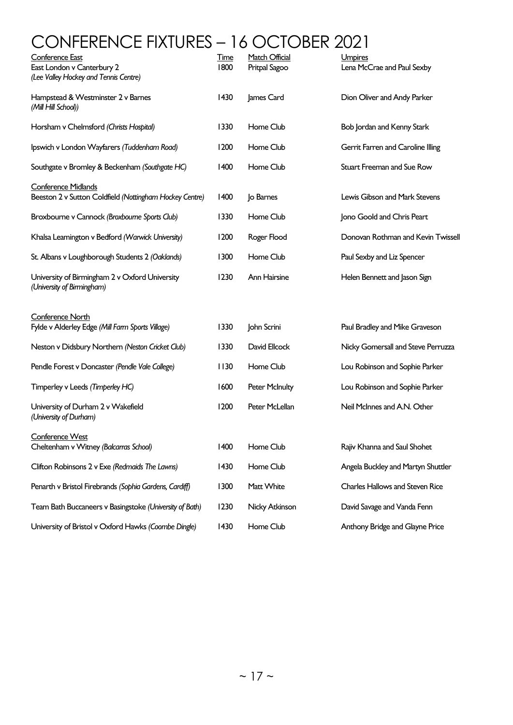# CONFERENCE FIXTURES – 16 OCTOBER 2021

| <b>Conference East</b><br>East London v Canterbury 2<br>(Lee Valley Hockey and Tennis Centre) | <b>Time</b><br>1800 | <b>Match Official</b><br>Pritpal Sagoo | Umpires<br>Lena McCrae and Paul Sexby |
|-----------------------------------------------------------------------------------------------|---------------------|----------------------------------------|---------------------------------------|
| Hampstead & Westminster 2 v Barnes<br>(Mill Hill School))                                     | 1430                | James Card                             | Dion Oliver and Andy Parker           |
| Horsham v Chelmsford (Christs Hospital)                                                       | 1330                | Home Club                              | Bob Jordan and Kenny Stark            |
| Ipswich v London Wayfarers (Tuddenham Road)                                                   | 1200                | Home Club                              | Gerrit Farren and Caroline Illing     |
| Southgate v Bromley & Beckenham (Southgate HC)                                                | 1400                | Home Club                              | Stuart Freeman and Sue Row            |
| <b>Conference Midlands</b><br>Beeston 2 v Sutton Coldfield (Nottingham Hockey Centre)         | 1400                | Jo Barnes                              | Lewis Gibson and Mark Stevens         |
| Broxbourne v Cannock (Broxbourne Sports Club)                                                 | 1330                | Home Club                              | Jono Goold and Chris Peart            |
| Khalsa Leamington v Bedford (Warwick University)                                              | 1200                | Roger Flood                            | Donovan Rothman and Kevin Twissel     |
| St. Albans v Loughborough Students 2 (Oaklands)                                               | 1300                | Home Club                              | Paul Sexby and Liz Spencer            |
| University of Birmingham 2 v Oxford University<br>(University of Birmingham)                  | 1230                | Ann Hairsine                           | Helen Bennett and Jason Sign          |
| <b>Conference North</b><br>Fylde v Alderley Edge (Mill Farm Sports Village)                   | 1330                | John Scrini                            | Paul Bradley and Mike Graveson        |
| Neston v Didsbury Northern (Neston Cricket Club)                                              | 1330                | David Ellcock                          | Nicky Gomersall and Steve Perruzza    |
| Pendle Forest v Doncaster (Pendle Vale College)                                               | 1130                | Home Club                              | Lou Robinson and Sophie Parker        |
| Timperley v Leeds (Timperley HC)                                                              | 1600                | <b>Peter McInulty</b>                  | Lou Robinson and Sophie Parker        |
| University of Durham 2 v Wakefield<br>(University of Durham)                                  | 1200                | Peter McLellan                         | Neil McInnes and A.N. Other           |
| Conference West<br>Cheltenham v Witney (Balcarras School)                                     | 1400                | Home Club                              | Rajiv Khanna and Saul Shohet          |
| Clifton Robinsons 2 v Exe (Redmaids The Lawns)                                                | 1430                | Home Club                              | Angela Buckley and Martyn Shuttler    |
| Penarth v Bristol Firebrands (Sophia Gardens, Cardiff)                                        | 1300                | Matt White                             | Charles Hallows and Steven Rice       |
| Team Bath Buccaneers v Basingstoke (University of Bath)                                       | 1230                | Nicky Atkinson                         | David Savage and Vanda Fenn           |
| University of Bristol v Oxford Hawks (Coombe Dingle)                                          | 1430                | Home Club                              | Anthony Bridge and Glayne Price       |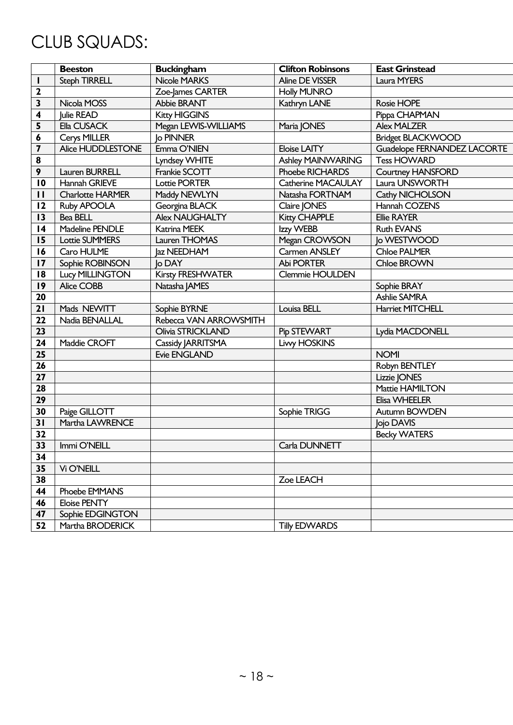# CLUB SQUADS:

|                         | <b>Beeston</b>          | <b>Buckingham</b>      | <b>Clifton Robinsons</b> | <b>East Grinstead</b>       |
|-------------------------|-------------------------|------------------------|--------------------------|-----------------------------|
| I.                      | <b>Steph TIRRELL</b>    | <b>Nicole MARKS</b>    | <b>Aline DE VISSER</b>   | Laura MYERS                 |
| 2                       |                         | Zoe-James CARTER       | <b>Holly MUNRO</b>       |                             |
| 3                       | Nicola MOSS             | Abbie BRANT            | Kathryn LANE             | Rosie HOPE                  |
| 4                       | Julie READ              | <b>Kitty HIGGINS</b>   |                          | Pippa CHAPMAN               |
| 5                       | Ella CUSACK             | Megan LEVVIS-WILLIAMS  | Maria JONES              | <b>Alex MALZER</b>          |
| 6                       | Cerys MILLER            | <b>Jo PINNER</b>       |                          | <b>Bridget BLACKWOOD</b>    |
| $\overline{\mathbf{z}}$ | Alice HUDDLESTONE       | Emma O'NIEN            | <b>Eloise LAITY</b>      | Guadelope FERNANDEZ LACORTE |
| $\pmb{8}$               |                         | Lyndsey WHITE          | <b>Ashley MAINWARING</b> | <b>Tess HOWARD</b>          |
| 9                       | Lauren BURRELL          | Frankie SCOTT          | Phoebe RICHARDS          | <b>Courtney HANSFORD</b>    |
| 10                      | Hannah GRIEVE           | <b>Lottie PORTER</b>   | Catherine MACAULAY       | Laura UNSWORTH              |
| $\mathbf{H}$            | <b>Charlotte HARMER</b> | Maddy NEWLYN           | Natasha FORTNAM          | Cathy NICHOLSON             |
| 12                      | Ruby APOOLA             | Georgina BLACK         | Claire JONES             | Hannah COZENS               |
| 13                      | Bea BELL                | <b>Alex NAUGHALTY</b>  | <b>Kitty CHAPPLE</b>     | <b>Ellie RAYER</b>          |
| 4                       | Madeline PENDLE         | Katrina MEEK           | Izzy WEBB                | <b>Ruth EVANS</b>           |
| 15                      | <b>Lottie SUMMERS</b>   | Lauren THOMAS          | Megan CROWSON            | lo WESTWOOD                 |
| 16                      | Caro HULME              | Jaz NEEDHAM            | Carmen ANSLEY            | <b>Chloe PALMER</b>         |
| 17                      | Sophie ROBINSON         | lo DAY                 | Abi PORTER               | Chloe BROWN                 |
| 18                      | <b>Lucy MILLINGTON</b>  | Kirsty FRESHWATER      | Clemmie HOULDEN          |                             |
| 19                      | Alice COBB              | Natasha JAMES          |                          | Sophie BRAY                 |
| 20                      |                         |                        |                          | <b>Ashlie SAMRA</b>         |
| 21                      | Mads NEWITT             | Sophie BYRNE           | Louisa BELL              | <b>Harriet MITCHELL</b>     |
| 22                      | Nadia BENALLAL          | Rebecca VAN ARROWSMITH |                          |                             |
| 23                      |                         | Olivia STRICKLAND      | Pip STEWART              | Lydia MACDONELL             |
| 24                      | Maddie CROFT            | Cassidy JARRITSMA      | <b>Livy HOSKINS</b>      |                             |
| 25                      |                         | <b>Evie ENGLAND</b>    |                          | <b>NOMI</b>                 |
| 26                      |                         |                        |                          | Robyn BENTLEY               |
| 27                      |                         |                        |                          | Lizzie JONES                |
| 28                      |                         |                        |                          | Mattie HAMILTON             |
| 29                      |                         |                        |                          | Elisa WHEELER               |
| 30                      | Paige GILLOTT           |                        | Sophie TRIGG             | Autumn BOWDEN               |
| 31                      | Martha LAWRENCE         |                        |                          | Jojo DAVIS                  |
| 32                      |                         |                        |                          | <b>Becky WATERS</b>         |
| 33                      | Immi O'NEILL            |                        | Carla DUNNETT            |                             |
| 34                      |                         |                        |                          |                             |
| 35                      | Vi O'NEILL              |                        |                          |                             |
| 38                      |                         |                        | Zoe LEACH                |                             |
| 44                      | Phoebe EMMANS           |                        |                          |                             |
| 46                      | <b>Eloise PENTY</b>     |                        |                          |                             |
| 47                      | Sophie EDGINGTON        |                        |                          |                             |
| 52                      | Martha BRODERICK        |                        | <b>Tilly EDWARDS</b>     |                             |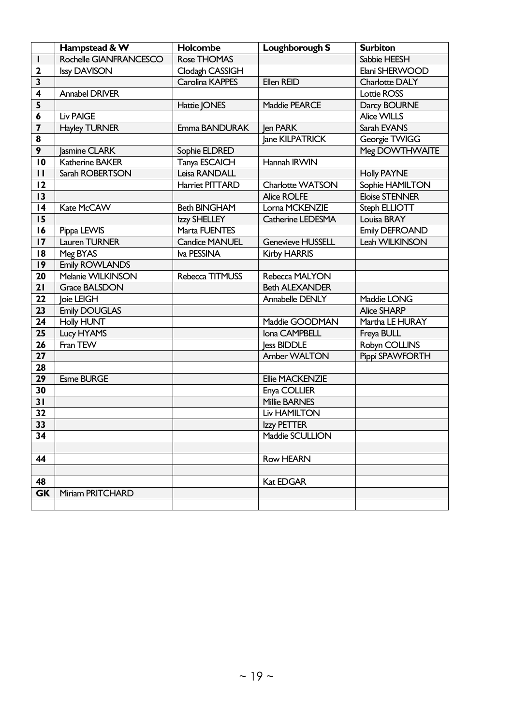|                         | Hampstead & W          | Holcombe              | Loughborough S           | <b>Surbiton</b>       |
|-------------------------|------------------------|-----------------------|--------------------------|-----------------------|
| $\mathbf{I}$            | Rochelle GIANFRANCESCO | Rose THOMAS           |                          | Sabbie HEESH          |
| $\mathbf{2}$            | <b>Issy DAVISON</b>    | Clodagh CASSIGH       |                          | Elani SHERWOOD        |
| $\overline{\mathbf{3}}$ |                        | Carolina KAPPES       | Ellen REID               | Charlotte DALY        |
| 4                       | <b>Annabel DRIVER</b>  |                       |                          | <b>Lottie ROSS</b>    |
| 5                       |                        | Hattie JONES          | Maddie PEARCE            | Darcy BOURNE          |
| 6                       | <b>Liv PAIGE</b>       |                       |                          | Alice WILLS           |
| $\overline{\mathbf{z}}$ | <b>Hayley TURNER</b>   | Emma BANDURAK         | len PARK                 | Sarah EVANS           |
| 8                       |                        |                       | lane KILPATRICK          | Georgie TWIGG         |
| 9                       | lasmine CLARK          | Sophie ELDRED         |                          | Meg DOWTHWAITE        |
| $\overline{10}$         | Katherine BAKER        | Tanya ESCAICH         | Hannah IRWIN             |                       |
| $\mathbf{H}$            | Sarah ROBERTSON        | Leisa RANDALL         |                          | <b>Holly PAYNE</b>    |
| 12                      |                        | Harriet PITTARD       | <b>Charlotte WATSON</b>  | Sophie HAMILTON       |
| 13                      |                        |                       | <b>Alice ROLFE</b>       | <b>Eloise STENNER</b> |
| 4                       | Kate McCAW             | <b>Beth BINGHAM</b>   | Lorna MCKENZIE           | Steph ELLIOTT         |
| 15                      |                        | Izzy SHELLEY          | Catherine LEDESMA        | Louisa BRAY           |
| 16                      | Pippa LEVVIS           | Marta FUENTES         |                          | Emily DEFROAND        |
| 17                      | Lauren TURNER          | <b>Candice MANUEL</b> | <b>Genevieve HUSSELL</b> | Leah WILKINSON        |
| 18                      | Meg BYAS               | Iva PESSINA           | <b>Kirby HARRIS</b>      |                       |
| 9                       | <b>Emily ROWLANDS</b>  |                       |                          |                       |
| 20                      | Melanie WILKINSON      | Rebecca TITMUSS       | Rebecca MALYON           |                       |
| 21                      | <b>Grace BALSDON</b>   |                       | <b>Beth ALEXANDER</b>    |                       |
| 22                      | loie LEIGH             |                       | Annabelle DENLY          | Maddie LONG           |
| 23                      | <b>Emily DOUGLAS</b>   |                       |                          | <b>Alice SHARP</b>    |
| 24                      | <b>Holly HUNT</b>      |                       | Maddie GOODMAN           | Martha LE HURAY       |
| 25                      | Lucy HYAMS             |                       | Iona CAMPBELL            | Freya BULL            |
| 26                      | Fran TEW               |                       | less BIDDLE              | Robyn COLLINS         |
| 27                      |                        |                       | Amber WALTON             | Pippi SPAWFORTH       |
| 28                      |                        |                       |                          |                       |
| 29                      | <b>Esme BURGE</b>      |                       | Ellie MACKENZIE          |                       |
| 30                      |                        |                       | Enya COLLIER             |                       |
| 31                      |                        |                       | <b>Millie BARNES</b>     |                       |
| 32                      |                        |                       | <b>Liv HAMILTON</b>      |                       |
| 33                      |                        |                       | Izzy PETTER              |                       |
| 34                      |                        |                       | Maddie SCULLION          |                       |
|                         |                        |                       |                          |                       |
| 44                      |                        |                       | <b>Row HEARN</b>         |                       |
|                         |                        |                       |                          |                       |
| 48                      |                        |                       | Kat EDGAR                |                       |
| <b>GK</b>               | Miriam PRITCHARD       |                       |                          |                       |
|                         |                        |                       |                          |                       |